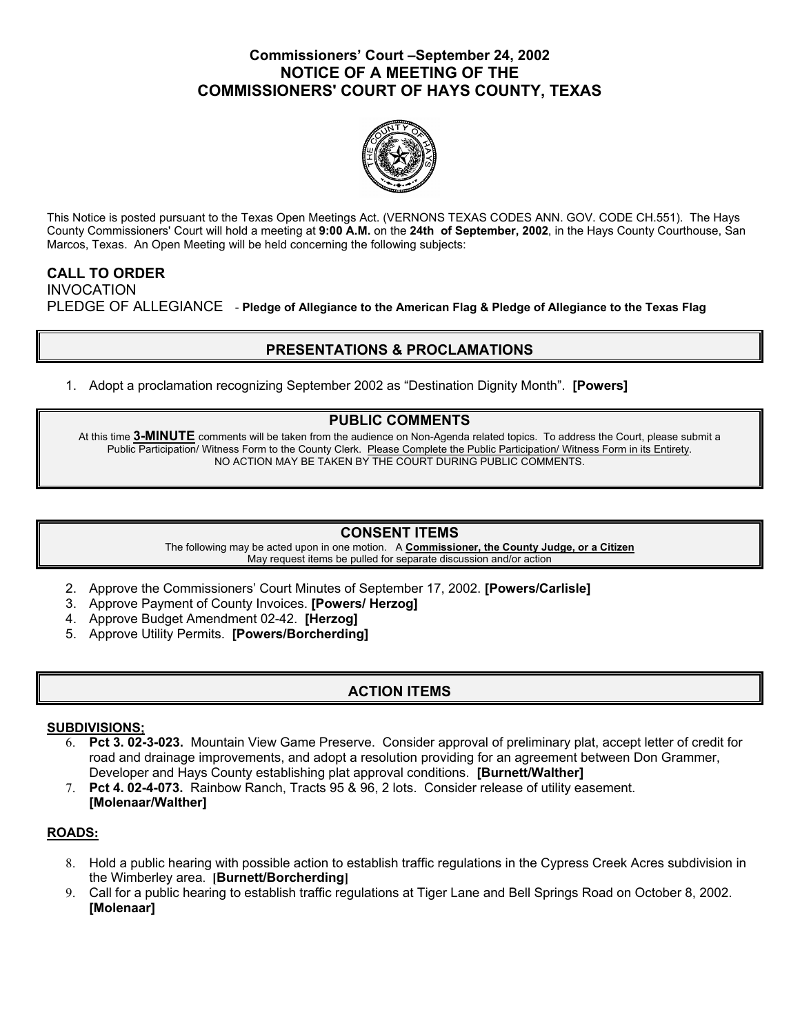## **Commissioners' Court –September 24, 2002 NOTICE OF A MEETING OF THE COMMISSIONERS' COURT OF HAYS COUNTY, TEXAS**



This Notice is posted pursuant to the Texas Open Meetings Act. (VERNONS TEXAS CODES ANN. GOV. CODE CH.551). The Hays County Commissioners' Court will hold a meeting at **9:00 A.M.** on the **24th of September, 2002**, in the Hays County Courthouse, San Marcos, Texas. An Open Meeting will be held concerning the following subjects:

## **CALL TO ORDER**  INVOCATION PLEDGE OF ALLEGIANCE - **Pledge of Allegiance to the American Flag & Pledge of Allegiance to the Texas Flag**

# **PRESENTATIONS & PROCLAMATIONS**

1. Adopt a proclamation recognizing September 2002 as "Destination Dignity Month". **[Powers]** 

### **PUBLIC COMMENTS**

At this time **3-MINUTE** comments will be taken from the audience on Non-Agenda related topics. To address the Court, please submit a Public Participation/ Witness Form to the County Clerk. Please Complete the Public Participation/ Witness Form in its Entirety. NO ACTION MAY BE TAKEN BY THE COURT DURING PUBLIC COMMENTS.

### **CONSENT ITEMS**

The following may be acted upon in one motion. A **Commissioner, the County Judge, or a Citizen** May request items be pulled for separate discussion and/or action

- 2. Approve the Commissioners' Court Minutes of September 17, 2002. **[Powers/Carlisle]**
- 3. Approve Payment of County Invoices. **[Powers/ Herzog]**
- 4. Approve Budget Amendment 02-42. **[Herzog]**
- 5. Approve Utility Permits. **[Powers/Borcherding]**

## **ACTION ITEMS**

#### **SUBDIVISIONS;**

- 6. **Pct 3. 02-3-023.** Mountain View Game Preserve. Consider approval of preliminary plat, accept letter of credit for road and drainage improvements, and adopt a resolution providing for an agreement between Don Grammer, Developer and Hays County establishing plat approval conditions. **[Burnett/Walther]**
- 7. **Pct 4. 02-4-073.** Rainbow Ranch, Tracts 95 & 96, 2 lots. Consider release of utility easement. **[Molenaar/Walther]**

### **ROADS:**

- 8. Hold a public hearing with possible action to establish traffic regulations in the Cypress Creek Acres subdivision in the Wimberley area. **[Burnett/Borcherding]**
- 9. Call for a public hearing to establish traffic regulations at Tiger Lane and Bell Springs Road on October 8, 2002. **[Molenaar]**